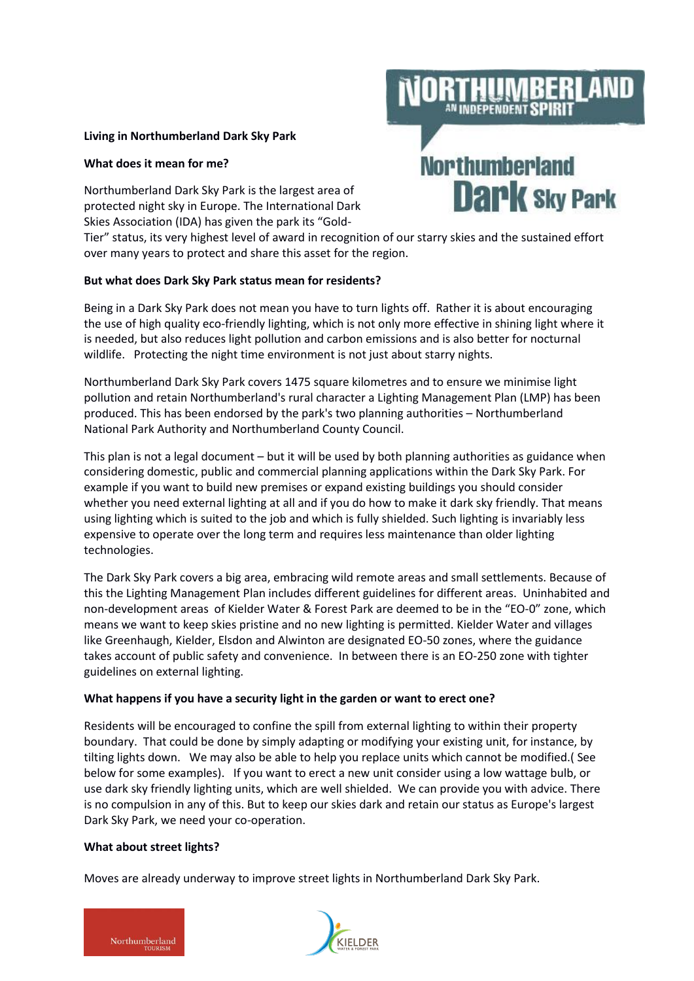## **Living in Northumberland Dark Sky Park**

## **What does it mean for me?**

Northumberland Dark Sky Park is the largest area of protected night sky in Europe. The International Dark Skies Association (IDA) has given the park its "Gold-

Tier" status, its very highest level of award in recognition of our starry skies and the sustained effort over many years to protect and share this asset for the region.

# **But what does Dark Sky Park status mean for residents?**

Being in a Dark Sky Park does not mean you have to turn lights off. Rather it is about encouraging the use of high quality eco-friendly lighting, which is not only more effective in shining light where it is needed, but also reduces light pollution and carbon emissions and is also better for nocturnal wildlife. Protecting the night time environment is not just about starry nights.

Northumberland Dark Sky Park covers 1475 square kilometres and to ensure we minimise light pollution and retain Northumberland's rural character a Lighting Management Plan (LMP) has been produced. This has been endorsed by the park's two planning authorities – Northumberland National Park Authority and Northumberland County Council.

This plan is not a legal document – but it will be used by both planning authorities as guidance when considering domestic, public and commercial planning applications within the Dark Sky Park. For example if you want to build new premises or expand existing buildings you should consider whether you need external lighting at all and if you do how to make it dark sky friendly. That means using lighting which is suited to the job and which is fully shielded. Such lighting is invariably less expensive to operate over the long term and requires less maintenance than older lighting technologies.

The Dark Sky Park covers a big area, embracing wild remote areas and small settlements. Because of this the Lighting Management Plan includes different guidelines for different areas. Uninhabited and non-development areas of Kielder Water & Forest Park are deemed to be in the "EO-0" zone, which means we want to keep skies pristine and no new lighting is permitted. Kielder Water and villages like Greenhaugh, Kielder, Elsdon and Alwinton are designated EO-50 zones, where the guidance takes account of public safety and convenience. In between there is an EO-250 zone with tighter guidelines on external lighting.

### **What happens if you have a security light in the garden or want to erect one?**

Residents will be encouraged to confine the spill from external lighting to within their property boundary. That could be done by simply adapting or modifying your existing unit, for instance, by tilting lights down. We may also be able to help you replace units which cannot be modified.( See below for some examples). If you want to erect a new unit consider using a low wattage bulb, or use dark sky friendly lighting units, which are well shielded. We can provide you with advice. There is no compulsion in any of this. But to keep our skies dark and retain our status as Europe's largest Dark Sky Park, we need your co-operation.

### **What about street lights?**

Moves are already underway to improve street lights in Northumberland Dark Sky Park.





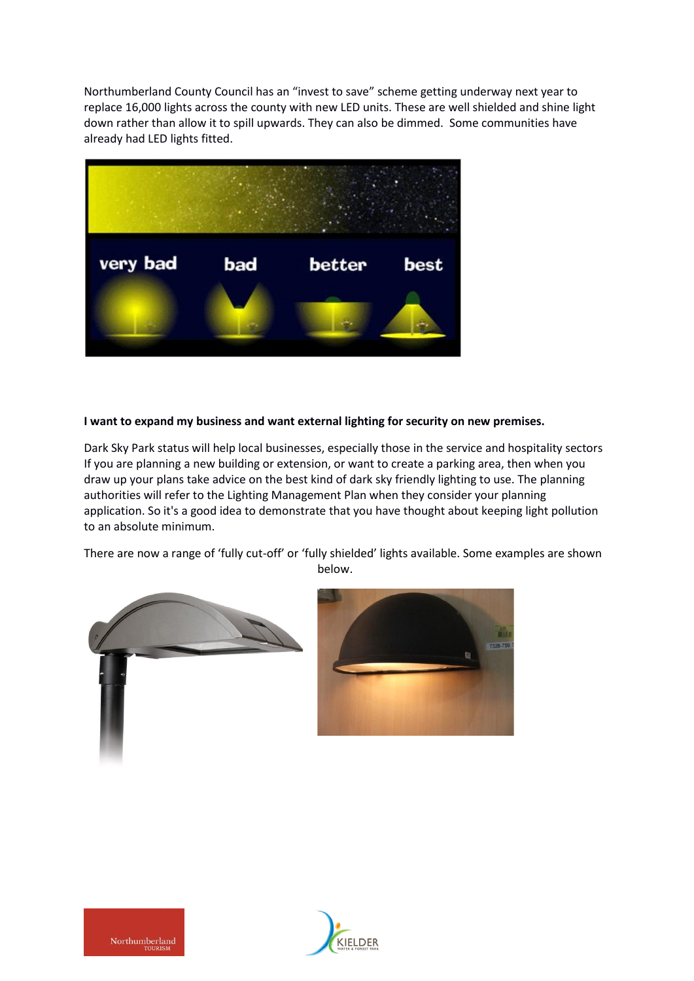Northumberland County Council has an "invest to save" scheme getting underway next year to replace 16,000 lights across the county with new LED units. These are well shielded and shine light down rather than allow it to spill upwards. They can also be dimmed. Some communities have already had LED lights fitted.



# **I want to expand my business and want external lighting for security on new premises.**

Dark Sky Park status will help local businesses, especially those in the service and hospitality sectors If you are planning a new building or extension, or want to create a parking area, then when you draw up your plans take advice on the best kind of dark sky friendly lighting to use. The planning authorities will refer to the Lighting Management Plan when they consider your planning application. So it's a good idea to demonstrate that you have thought about keeping light pollution to an absolute minimum.

There are now a range of 'fully cut-off' or 'fully shielded' lights available. Some examples are shown below.